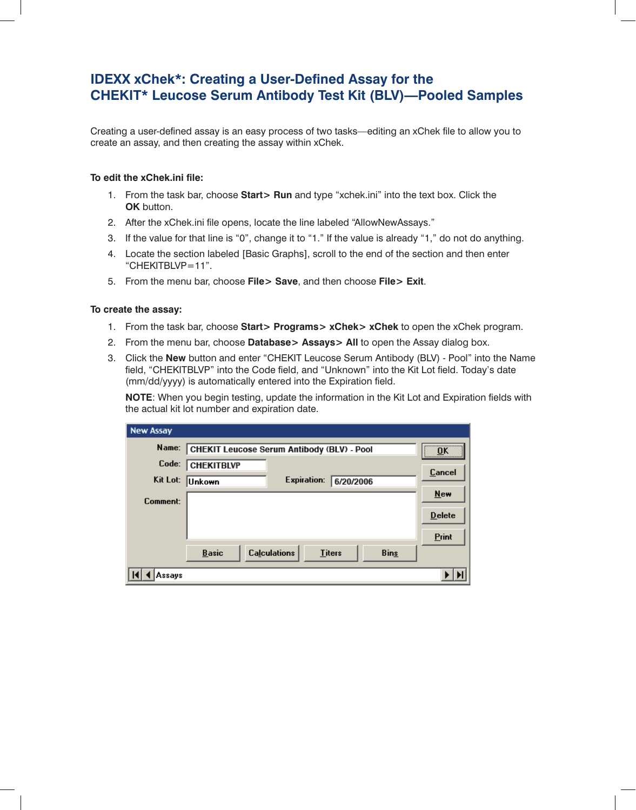## **IDEXX xChek\*: Creating a User-Defined Assay for the CHEKIT\* Leucose Serum Antibody Test Kit (BLV)—Pooled Samples**

Creating a user-defined assay is an easy process of two tasks—editing an xChek file to allow you to create an assay, and then creating the assay within xChek.

## **To edit the xChek.ini file:**

- 1. From the task bar, choose **Start> Run** and type "xchek.ini" into the text box. Click the **OK** button.
- 2. After the xChek.ini file opens, locate the line labeled "AllowNewAssays."
- 3. If the value for that line is "0", change it to "1." If the value is already "1," do not do anything.
- 4. Locate the section labeled [Basic Graphs], scroll to the end of the section and then enter "CHEKITBLVP=11".
- 5. From the menu bar, choose **File> Save**, and then choose **File> Exit**.

## **To create the assay:**

- 1. From the task bar, choose **Start> Programs> xChek> xChek** to open the xChek program.
- 2. From the menu bar, choose **Database> Assays> All** to open the Assay dialog box.
- 3. Click the **New** button and enter "CHEKIT Leucose Serum Antibody (BLV) Pool" into the Name field, "CHEKITBLVP" into the Code field, and "Unknown" into the Kit Lot field. Today's date (mm/dd/yyyy) is automatically entered into the Expiration field.

**NOTE:** When you begin testing, update the information in the Kit Lot and Expiration fields with the actual kit lot number and expiration date.

| <b>New Assay</b> |                                                                     |  |
|------------------|---------------------------------------------------------------------|--|
| Name:            | <br>CHEKIT Leucose Serum Antibody (BLV) - Pool<br>OK<br><del></del> |  |
| Code:            | <b>CHEKITBLVP</b><br><b>Cancel</b>                                  |  |
| Kit Lot:         | Expiration:<br>6/20/2006<br> Unkown                                 |  |
| Comment:         | <b>New</b>                                                          |  |
|                  | <b>Delete</b>                                                       |  |
|                  | Print                                                               |  |
|                  | <b>Calculations</b><br>Basic<br><b>Bins</b><br><b>Titers</b>        |  |
| Assays           |                                                                     |  |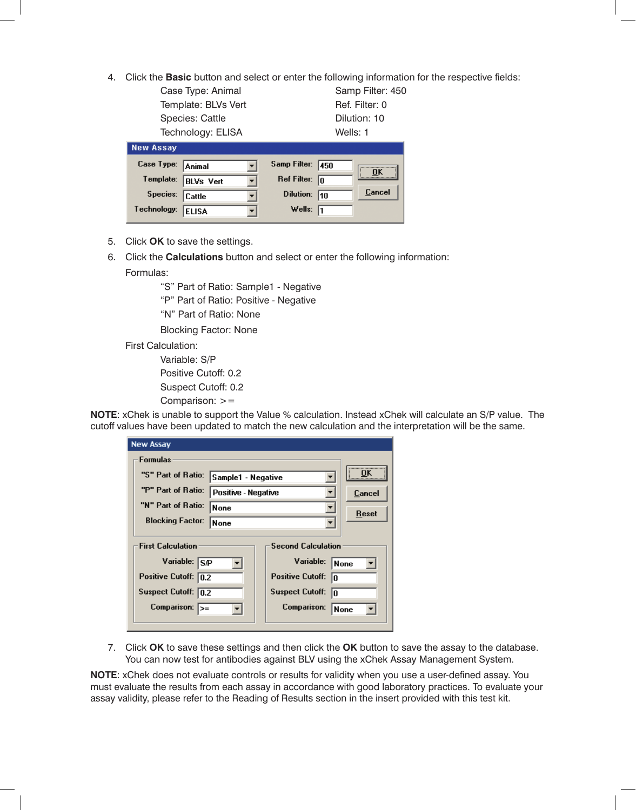4. Click the **Basic** button and select or enter the following information for the respective fields:

Case Type: Animal Samp Filter: 450 Template: BLVs Vert Ref. Filter: 0 Species: Cattle **Dilution:** 10 Technology: ELISA Wells: 1

| <b>New Assay</b>  |                  |                         |      |        |
|-------------------|------------------|-------------------------|------|--------|
| Case Type: Animal |                  | Samp Filter:            | 1450 |        |
| Template:         | <b>BLVs</b> Vert | Ref Filter: $\boxed{0}$ |      |        |
| Species: Cattle   |                  | Dilution:               | 110  | Cancel |
| Technology:       | <b>ELISA</b>     | Wells: $\sqrt{1}$       |      |        |

- 5. Click **OK** to save the settings.
- 6. Click the **Calculations** button and select or enter the following information:

Formulas:

"S" Part of Ratio: Sample1 - Negative

"P" Part of Ratio: Positive - Negative

"N" Part of Ratio: None

Blocking Factor: None

First Calculation:

 Variable: S/P Positive Cutoff: 0.2 Suspect Cutoff: 0.2 Comparison: >=

**NOTE**: xChek is unable to support the Value % calculation. Instead xChek will calculate an S/P value. The cutoff values have been updated to match the new calculation and the interpretation will be the same.

| <b>New Assay</b>                                                                                                   |                            |                                                                                                                       |                     |
|--------------------------------------------------------------------------------------------------------------------|----------------------------|-----------------------------------------------------------------------------------------------------------------------|---------------------|
| Formulas                                                                                                           |                            |                                                                                                                       |                     |
| "S" Part of Ratio:                                                                                                 | Sample1 - Negative         |                                                                                                                       | <br>ΩK              |
| "P" Part of Ratio:                                                                                                 | <b>Positive - Negative</b> |                                                                                                                       | Cancel              |
| "N" Part of Ratio:                                                                                                 | <b>None</b>                |                                                                                                                       |                     |
| <b>Blocking Factor:</b>                                                                                            | None                       |                                                                                                                       | Reset               |
| <b>First Calculation</b><br>Variable: S/P<br>Positive Cutoff: 0.2<br>Suspect Cutoff: 0.2<br>Comparison: $\sqrt{5}$ |                            | <b>Second Calculation</b><br>Variable:<br><b>Positive Cutoff:</b><br>n<br><b>Suspect Cutoff:</b><br>In<br>Comparison: | <b>None</b><br>None |

7. Click **OK** to save these settings and then click the **OK** button to save the assay to the database. You can now test for antibodies against BLV using the xChek Assay Management System.

**NOTE**: xChek does not evaluate controls or results for validity when you use a user-defined assay. You must evaluate the results from each assay in accordance with good laboratory practices. To evaluate your assay validity, please refer to the Reading of Results section in the insert provided with this test kit.